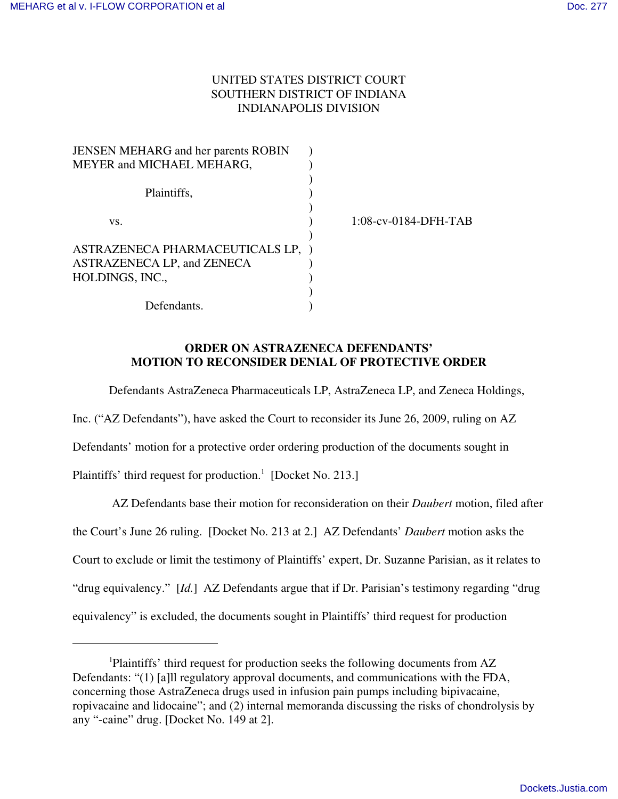## UNITED STATES DISTRICT COURT SOUTHERN DISTRICT OF INDIANA INDIANAPOLIS DIVISION

| <b>JENSEN MEHARG</b> and her parents ROBIN |                         |
|--------------------------------------------|-------------------------|
| MEYER and MICHAEL MEHARG,                  |                         |
| Plaintiffs,                                |                         |
| VS.                                        | $1:08$ -cv-0184-DFH-TAB |
|                                            |                         |
| ASTRAZENECA PHARMACEUTICALS LP,            |                         |
| ASTRAZENECA LP, and ZENECA                 |                         |
| HOLDINGS, INC.,                            |                         |
|                                            |                         |
| Defendants.                                |                         |

## **ORDER ON ASTRAZENECA DEFENDANTS' MOTION TO RECONSIDER DENIAL OF PROTECTIVE ORDER**

Defendants AstraZeneca Pharmaceuticals LP, AstraZeneca LP, and Zeneca Holdings,

Inc. ("AZ Defendants"), have asked the Court to reconsider its June 26, 2009, ruling on AZ Defendants' motion for a protective order ordering production of the documents sought in Plaintiffs' third request for production.<sup>1</sup> [Docket No. 213.]

 AZ Defendants base their motion for reconsideration on their *Daubert* motion, filed after the Court's June 26 ruling. [Docket No. 213 at 2.] AZ Defendants' *Daubert* motion asks the Court to exclude or limit the testimony of Plaintiffs' expert, Dr. Suzanne Parisian, as it relates to "drug equivalency." [*Id.*] AZ Defendants argue that if Dr. Parisian's testimony regarding "drug equivalency" is excluded, the documents sought in Plaintiffs' third request for production

<sup>1</sup>Plaintiffs' third request for production seeks the following documents from AZ Defendants: "(1) [a]ll regulatory approval documents, and communications with the FDA, concerning those AstraZeneca drugs used in infusion pain pumps including bipivacaine, ropivacaine and lidocaine"; and (2) internal memoranda discussing the risks of chondrolysis by any "-caine" drug. [Docket No. 149 at 2].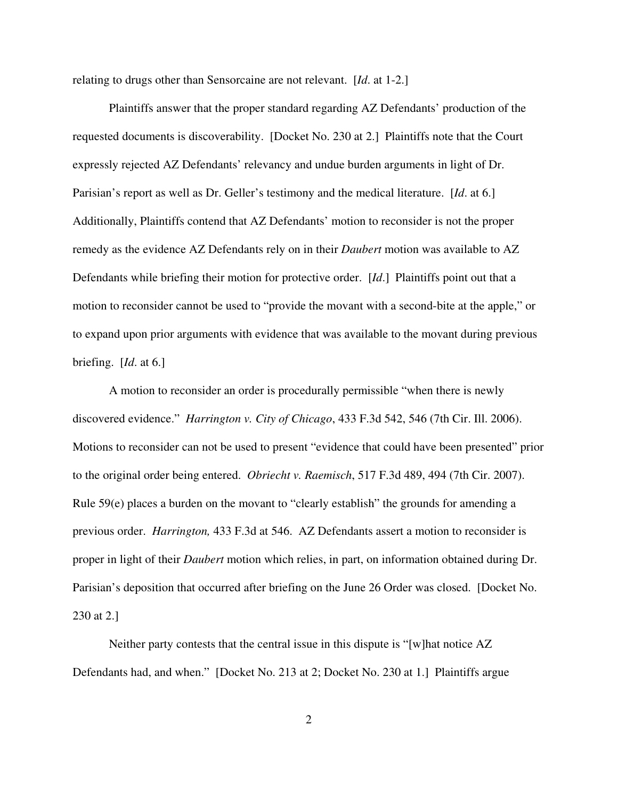relating to drugs other than Sensorcaine are not relevant. [*Id*. at 1-2.]

Plaintiffs answer that the proper standard regarding AZ Defendants' production of the requested documents is discoverability. [Docket No. 230 at 2.] Plaintiffs note that the Court expressly rejected AZ Defendants' relevancy and undue burden arguments in light of Dr. Parisian's report as well as Dr. Geller's testimony and the medical literature. [*Id*. at 6.] Additionally, Plaintiffs contend that AZ Defendants' motion to reconsider is not the proper remedy as the evidence AZ Defendants rely on in their *Daubert* motion was available to AZ Defendants while briefing their motion for protective order. [*Id*.] Plaintiffs point out that a motion to reconsider cannot be used to "provide the movant with a second-bite at the apple," or to expand upon prior arguments with evidence that was available to the movant during previous briefing. [*Id*. at 6.]

A motion to reconsider an order is procedurally permissible "when there is newly discovered evidence." *Harrington v. City of Chicago*, 433 F.3d 542, 546 (7th Cir. Ill. 2006). Motions to reconsider can not be used to present "evidence that could have been presented" prior to the original order being entered. *Obriecht v. Raemisch*, 517 F.3d 489, 494 (7th Cir. 2007). Rule 59(e) places a burden on the movant to "clearly establish" the grounds for amending a previous order. *Harrington,* 433 F.3d at 546. AZ Defendants assert a motion to reconsider is proper in light of their *Daubert* motion which relies, in part, on information obtained during Dr. Parisian's deposition that occurred after briefing on the June 26 Order was closed. [Docket No. 230 at 2.]

Neither party contests that the central issue in this dispute is "[w]hat notice AZ Defendants had, and when." [Docket No. 213 at 2; Docket No. 230 at 1.] Plaintiffs argue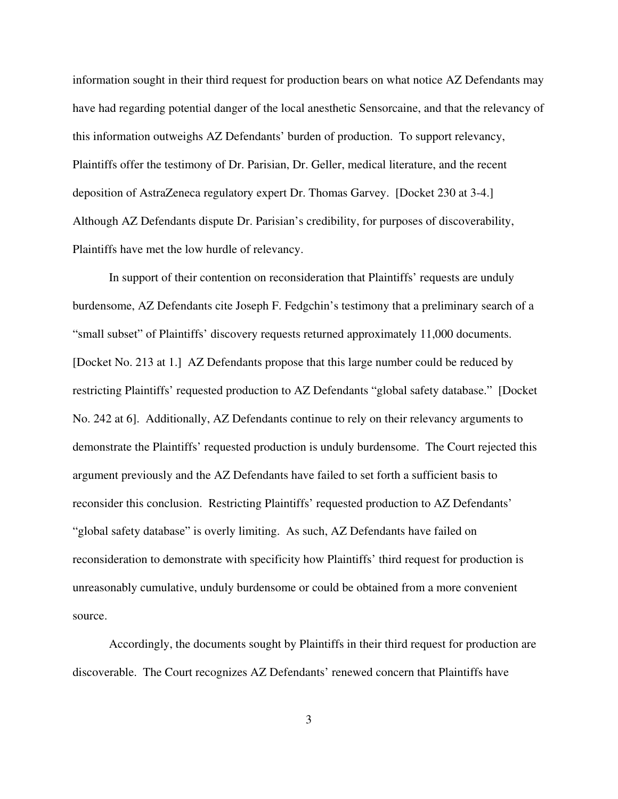information sought in their third request for production bears on what notice AZ Defendants may have had regarding potential danger of the local anesthetic Sensorcaine, and that the relevancy of this information outweighs AZ Defendants' burden of production. To support relevancy, Plaintiffs offer the testimony of Dr. Parisian, Dr. Geller, medical literature, and the recent deposition of AstraZeneca regulatory expert Dr. Thomas Garvey. [Docket 230 at 3-4.] Although AZ Defendants dispute Dr. Parisian's credibility, for purposes of discoverability, Plaintiffs have met the low hurdle of relevancy.

In support of their contention on reconsideration that Plaintiffs' requests are unduly burdensome, AZ Defendants cite Joseph F. Fedgchin's testimony that a preliminary search of a "small subset" of Plaintiffs' discovery requests returned approximately 11,000 documents. [Docket No. 213 at 1.] AZ Defendants propose that this large number could be reduced by restricting Plaintiffs' requested production to AZ Defendants "global safety database." [Docket No. 242 at 6]. Additionally, AZ Defendants continue to rely on their relevancy arguments to demonstrate the Plaintiffs' requested production is unduly burdensome. The Court rejected this argument previously and the AZ Defendants have failed to set forth a sufficient basis to reconsider this conclusion. Restricting Plaintiffs' requested production to AZ Defendants' "global safety database" is overly limiting. As such, AZ Defendants have failed on reconsideration to demonstrate with specificity how Plaintiffs' third request for production is unreasonably cumulative, unduly burdensome or could be obtained from a more convenient source.

Accordingly, the documents sought by Plaintiffs in their third request for production are discoverable. The Court recognizes AZ Defendants' renewed concern that Plaintiffs have

3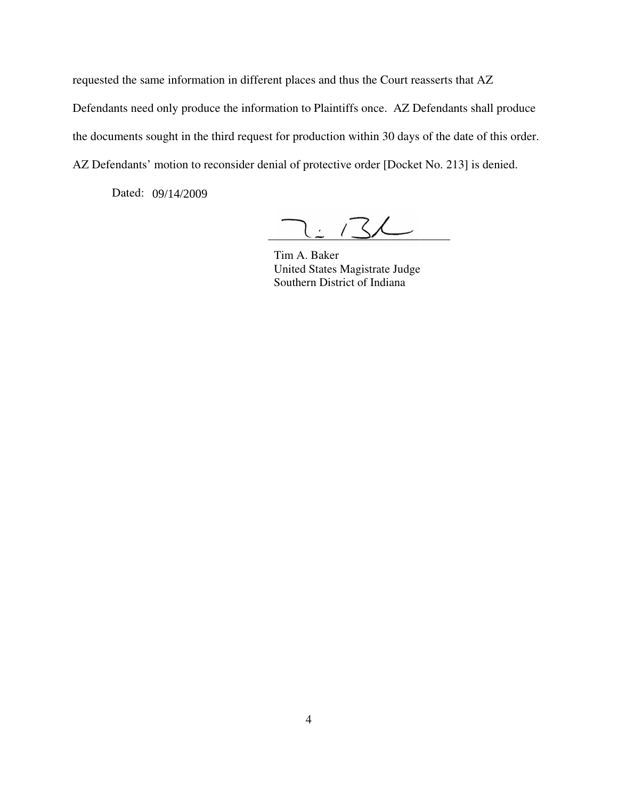requested the same information in different places and thus the Court reasserts that AZ Defendants need only produce the information to Plaintiffs once. AZ Defendants shall produce the documents sought in the third request for production within 30 days of the date of this order. AZ Defendants' motion to reconsider denial of protective order [Docket No. 213] is denied.

Dated: 09/14/2009

 $2.132$ 

 Tim A. Baker United States Magistrate Judge Southern District of Indiana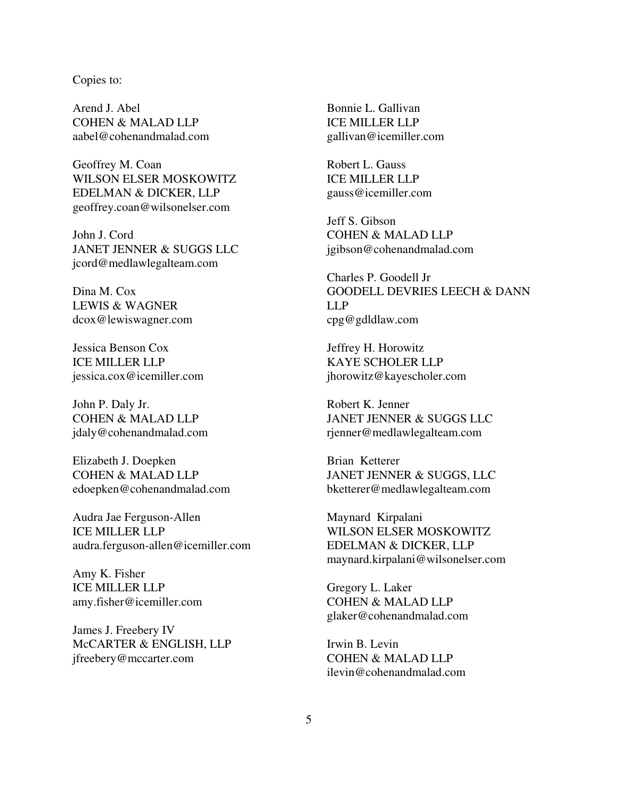## Copies to:

Arend J. Abel COHEN & MALAD LLP aabel@cohenandmalad.com

Geoffrey M. Coan WILSON ELSER MOSKOWITZ EDELMAN & DICKER, LLP geoffrey.coan@wilsonelser.com

John J. Cord JANET JENNER & SUGGS LLC jcord@medlawlegalteam.com

Dina M. Cox LEWIS & WAGNER dcox@lewiswagner.com

Jessica Benson Cox ICE MILLER LLP jessica.cox@icemiller.com

John P. Daly Jr. COHEN & MALAD LLP jdaly@cohenandmalad.com

Elizabeth J. Doepken COHEN & MALAD LLP edoepken@cohenandmalad.com

Audra Jae Ferguson-Allen ICE MILLER LLP audra.ferguson-allen@icemiller.com

Amy K. Fisher ICE MILLER LLP amy.fisher@icemiller.com

James J. Freebery IV McCARTER & ENGLISH, LLP jfreebery@mccarter.com

Bonnie L. Gallivan ICE MILLER LLP gallivan@icemiller.com

Robert L. Gauss ICE MILLER LLP gauss@icemiller.com

Jeff S. Gibson COHEN & MALAD LLP jgibson@cohenandmalad.com

Charles P. Goodell Jr GOODELL DEVRIES LEECH & DANN LLP cpg@gdldlaw.com

Jeffrey H. Horowitz KAYE SCHOLER LLP jhorowitz@kayescholer.com

Robert K. Jenner JANET JENNER & SUGGS LLC rjenner@medlawlegalteam.com

Brian Ketterer JANET JENNER & SUGGS, LLC bketterer@medlawlegalteam.com

Maynard Kirpalani WILSON ELSER MOSKOWITZ EDELMAN & DICKER, LLP maynard.kirpalani@wilsonelser.com

Gregory L. Laker COHEN & MALAD LLP glaker@cohenandmalad.com

Irwin B. Levin COHEN & MALAD LLP ilevin@cohenandmalad.com